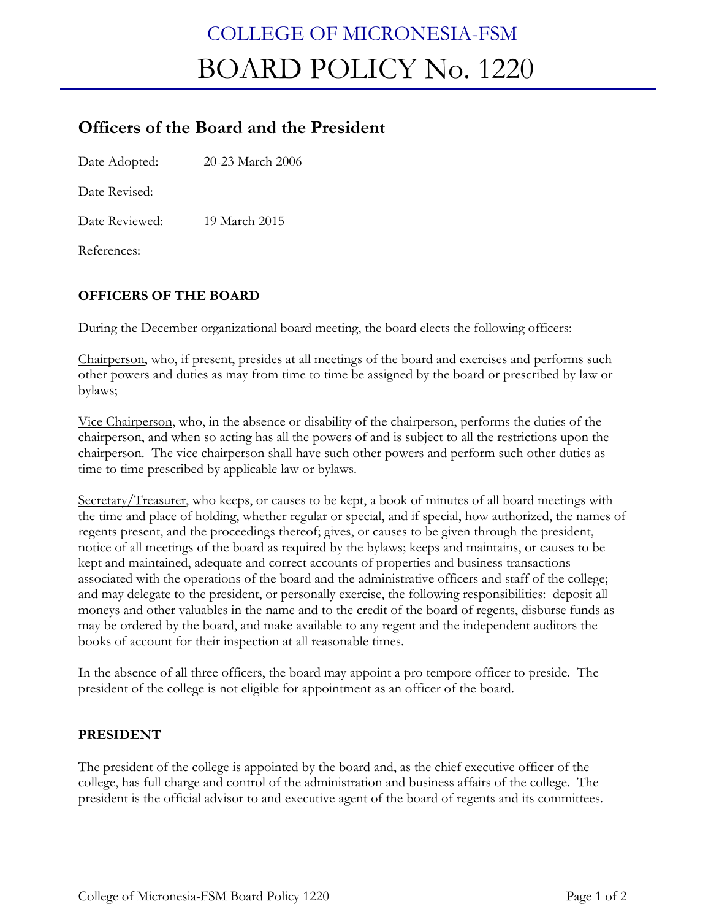## COLLEGE OF MICRONESIA-FSM BOARD POLICY No. 1220

## **Officers of the Board and the President**

Date Adopted: 20-23 March 2006

Date Revised:

Date Reviewed: 19 March 2015

References:

## **OFFICERS OF THE BOARD**

During the December organizational board meeting, the board elects the following officers:

Chairperson, who, if present, presides at all meetings of the board and exercises and performs such other powers and duties as may from time to time be assigned by the board or prescribed by law or bylaws;

Vice Chairperson, who, in the absence or disability of the chairperson, performs the duties of the chairperson, and when so acting has all the powers of and is subject to all the restrictions upon the chairperson. The vice chairperson shall have such other powers and perform such other duties as time to time prescribed by applicable law or bylaws.

Secretary/Treasurer, who keeps, or causes to be kept, a book of minutes of all board meetings with the time and place of holding, whether regular or special, and if special, how authorized, the names of regents present, and the proceedings thereof; gives, or causes to be given through the president, notice of all meetings of the board as required by the bylaws; keeps and maintains, or causes to be kept and maintained, adequate and correct accounts of properties and business transactions associated with the operations of the board and the administrative officers and staff of the college; and may delegate to the president, or personally exercise, the following responsibilities: deposit all moneys and other valuables in the name and to the credit of the board of regents, disburse funds as may be ordered by the board, and make available to any regent and the independent auditors the books of account for their inspection at all reasonable times.

In the absence of all three officers, the board may appoint a pro tempore officer to preside. The president of the college is not eligible for appointment as an officer of the board.

## **PRESIDENT**

The president of the college is appointed by the board and, as the chief executive officer of the college, has full charge and control of the administration and business affairs of the college. The president is the official advisor to and executive agent of the board of regents and its committees.